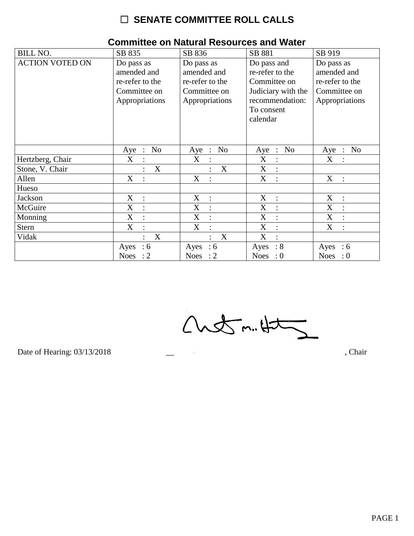## $\Box$  SENATE COMMITTEE ROLL CALLS

| <b>BILL NO.</b>        | SB 835                                                                         | SB 836                                                                         | SB 881                                                                                                            | SB 919                                                                         |
|------------------------|--------------------------------------------------------------------------------|--------------------------------------------------------------------------------|-------------------------------------------------------------------------------------------------------------------|--------------------------------------------------------------------------------|
| <b>ACTION VOTED ON</b> | Do pass as<br>amended and<br>re-refer to the<br>Committee on<br>Appropriations | Do pass as<br>amended and<br>re-refer to the<br>Committee on<br>Appropriations | Do pass and<br>re-refer to the<br>Committee on<br>Judiciary with the<br>recommendation:<br>To consent<br>calendar | Do pass as<br>amended and<br>re-refer to the<br>Committee on<br>Appropriations |
|                        | N <sub>o</sub><br>Aye<br>$\ddot{\phantom{1}}$ :                                | No<br>Aye<br>$\frac{1}{2}$                                                     | N <sub>o</sub><br>Aye<br>$\mathbb{R}^2$                                                                           | N <sub>o</sub><br>Aye<br>$\therefore$                                          |
| Hertzberg, Chair       | X                                                                              | X                                                                              | X<br>$\ddot{\cdot}$                                                                                               | X                                                                              |
| Stone, V. Chair        | X                                                                              | X                                                                              | X<br>$\ddot{\cdot}$                                                                                               |                                                                                |
| Allen                  | X                                                                              | X<br>$\ddot{\cdot}$                                                            | X<br>$\cdot$ .                                                                                                    | X<br>$\sim$ 1                                                                  |
| Hueso                  |                                                                                |                                                                                |                                                                                                                   |                                                                                |
| Jackson                | X<br>$\therefore$                                                              | X<br>$\ddot{\cdot}$                                                            | X<br>$\ddot{\cdot}$                                                                                               | X<br>$\ddot{\cdot}$                                                            |
| McGuire                | X<br>$\ddot{\cdot}$                                                            | X<br>$\ddot{\cdot}$                                                            | X<br>$\ddot{\cdot}$                                                                                               | X<br>$\cdot$                                                                   |
| Monning                | X                                                                              | X                                                                              | X<br>$\ddot{\cdot}$                                                                                               | $\boldsymbol{X}$                                                               |
| <b>Stern</b>           | X                                                                              | $\boldsymbol{X}$<br>$\ddot{\cdot}$                                             | $\boldsymbol{X}$<br>$\ddot{\cdot}$                                                                                | X                                                                              |
| Vidak                  | X<br>$\bullet$                                                                 | X<br>$\bullet$                                                                 | X<br>$\bullet$                                                                                                    |                                                                                |
|                        | :6<br>Ayes                                                                     | :6<br>Ayes                                                                     | $\therefore 8$<br>Ayes                                                                                            | Ayes<br>$\therefore$ 6                                                         |
|                        | <b>Noes</b><br>$\cdot$ 2                                                       | Noes : $2$                                                                     | Noes : $0$                                                                                                        | Noes : $0$                                                                     |

## **Committee on Natural Resources and Water**

 $Custm.4t5$ 

Date of Hearing: 03/13/2018

, Chair